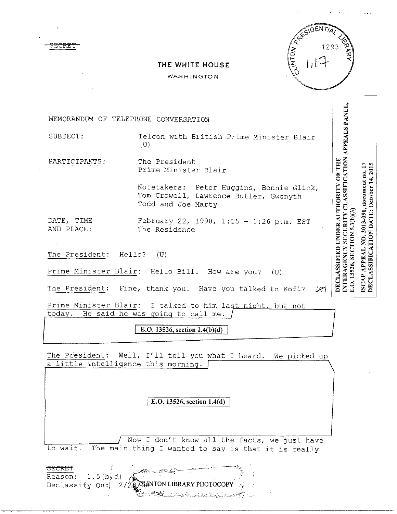Ħ

INTERAGENCY SECURITY CLASSIFICATION APPEALS PANEL,<br>E.O. 13526, SECTION 5.3(b)(3)

DECLASSIFICATION DATE: October 14, 2015 ISCAP APPEAL NO. 2013-090, document no. 17

DECLASSIFIED UNDER AUTHORITY OF THE

|  |  | THE WHITE HOUSE |
|--|--|-----------------|
|--|--|-----------------|

WASHINGTON

MEMORANDUM OF TELEPHONE CONVERSATION

<del>3ECBRT</del>

SUBJECT: Telcon with British Prime Minister Blair  $(U)$ 

PARTICIPANTS: The President Prime Minister Blair

> Notetakers: Peter Huggins, Bonnie Glick, Tom Crowell, Lawrence Butler, Gwenyth Todd and Joe Marty

DATE, TIME February 22, 1998, 1:15 - 1:26 p.m. EST AND PLACE: The Residence

The President: Hello? (U)

Prime Minister Blair: Hello Bill. How are you? (U)

J.eJ The President: Fine, thank you. Have you talked to Kofi?

Prime Minister Blair: I talked to him last night, but not today. He said he was going to call me.

E.O. 13526, section 1.4(b)(d)

The President: Well, I'll tell you what I heard. We picked up a little intelligence this morning.

I **E.O. 13526, section** 1.4(**d)** 

Now I don't know all the facts, we just have to wait. The main thing I wanted to say is that it is really

Reason:  $1.5(b,d)$ Declassify On: ANTON LIBRARY PHOTOCOPY 2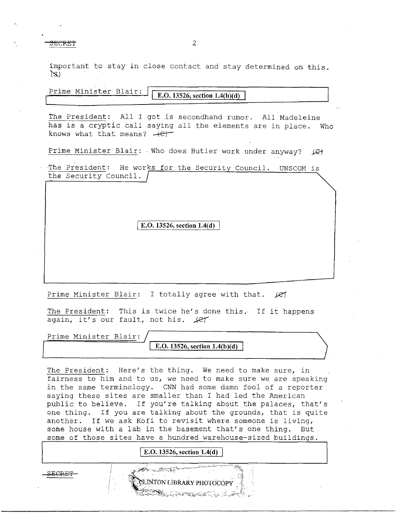<del>SF.CRF.T</del>

2

important to stay in close contact and stay determined on this.  $\langle S \rangle$ 

| Prime Minister Blair: | E.O. 13526, section $1.4(b)(d)$ |  |
|-----------------------|---------------------------------|--|
|                       |                                 |  |

The President: All I got is secondhand rumor. All Madeleine has is a cryptic call saying all the elements are in place. Who knows what that means?  $+e$ 

Prime Minister Blair: · Who does Butler work under anyway? *IC* 

The President: He works for the Security Council. UNSCOM is the Security Council.

E.O. 13526, section 1.4(d)

Prime Minister Blair: I totally agree with that.  $\cancel{16}$ 

The President: This is twice he's done this. If it happens again, it's our fault, not his.  $\text{phant}$ 

Prime Minister Blair: **E.O. 13526, section 1.4(b)(d)** 

The President: Here's the thing. We need to make sure, in fairness to him and to us, we need to make sure we are speaking in the same terminology. CNN had some damn fool of a reporter saying these sites are smaller than I had led the American public to believe. If you're talking about the palaces, that's one thing. If you are talking about the grounds, that is quite another. If we ask Kofi to revisit where someone is living, some house with a lab in the basement that's one thing. But some of those sites have a hundred warehouse-sized buildings.

**E.O. 13526, section 1.4(d)** 

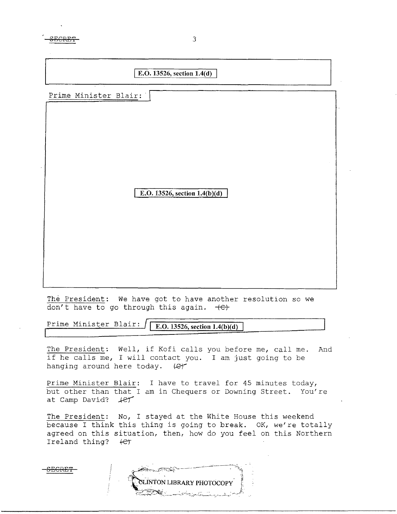**SECRET** 3

## **E.O. 13526, section 1.4(d)**

Prime Minister Blair:

**E.O. 13526, section 1.4(b)(d)** 

The President: We have got to have another resolution so we don't have to go through this again.  $+C$ +

Prime Minister Blair: I **E.0.13526, section 1.4(b)(d)** 

The President: Well, if Kofi calls you before me, call me. And if he calls me, I will contact you. I am just going to be hanging around here today.  $\ell$ 

Prime Minister Blair: I have to travel for 45 minutes today, but other than that I am in Chequers or Downing Street. You're at Camp David?  $H$ 

The President: No, I stayed at the White House this weekend because I think this thing is going to break. OK, we're totally agreed on this situation, then, how do you feel on this Northern Ireland thing?  $\leftarrow$ 

**SECRET** 

CLINTON LIBRARY PHOTOCOPY